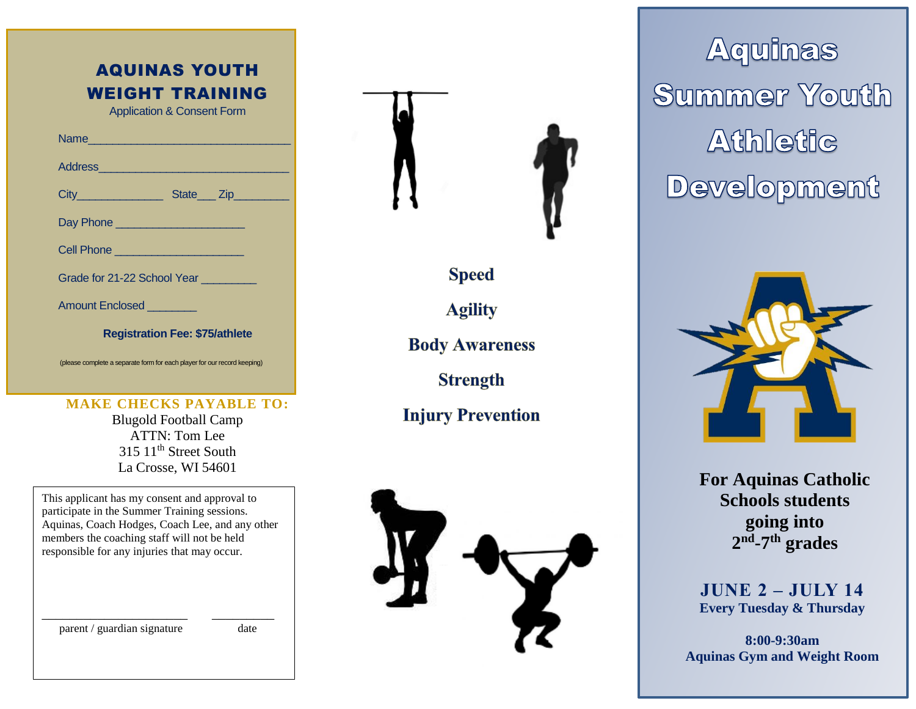| <b>AQUINAS YOUTH</b><br><b>WEIGHT TRAINING</b><br><b>Application &amp; Consent Form</b> |  |  |  |  |  |  |  |
|-----------------------------------------------------------------------------------------|--|--|--|--|--|--|--|
|                                                                                         |  |  |  |  |  |  |  |
| Address                                                                                 |  |  |  |  |  |  |  |
| City__________________________State____ Zip_____________                                |  |  |  |  |  |  |  |
|                                                                                         |  |  |  |  |  |  |  |
|                                                                                         |  |  |  |  |  |  |  |
| Grade for 21-22 School Year                                                             |  |  |  |  |  |  |  |
| Amount Enclosed <b>Manual</b>                                                           |  |  |  |  |  |  |  |
| <b>Registration Fee: \$75/athlete</b>                                                   |  |  |  |  |  |  |  |

(please complete a separate form for each player for our record keeping)

#### **MAKE CHECKS PAYABLE TO:**

Blugold Football Camp ATTN: Tom Lee 315 11<sup>th</sup> Street South La Crosse, WI 54601

This applicant has my consent and approval to participate in the Summer Training sessions. Aquinas, Coach Hodges, Coach Lee, and any other members the coaching staff will not be held responsible for any injuries that may occur.

\_\_\_\_\_\_\_\_\_\_\_\_\_\_\_\_\_\_\_\_\_ \_\_\_\_\_\_\_\_\_

parent / guardian signature date



**Speed** 

**Agility** 

**Body Awareness** 

**Strength** 

**Injury Prevention** 



**Aquinas Summer Youth Athletic Development** 



**For Aquinas Catholic Schools students going into 2 nd -7 th grades**

**JUNE 2 – JULY 14 Every Tuesday & Thursday**

**8:00-9:30am Aquinas Gym and Weight Room**